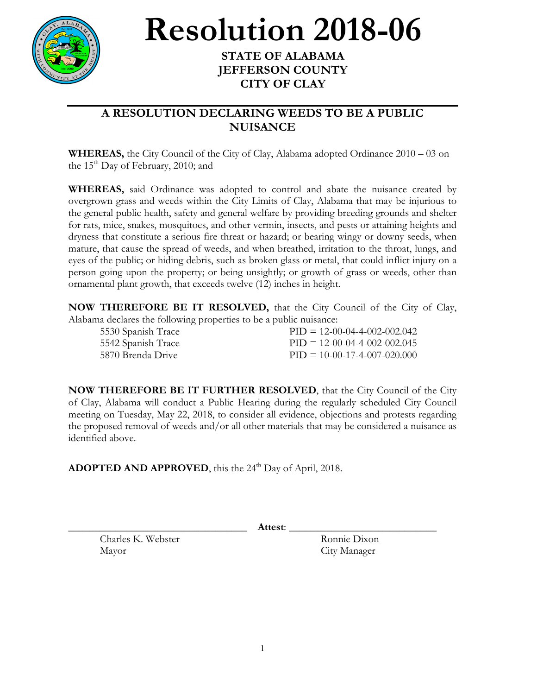

**Resolution 2018-06 STATE OF ALABAMA**

## **JEFFERSON COUNTY CITY OF CLAY**

## **A RESOLUTION DECLARING WEEDS TO BE A PUBLIC NUISANCE**

**WHEREAS,** the City Council of the City of Clay, Alabama adopted Ordinance 2010 – 03 on the  $15<sup>th</sup>$  Day of February, 2010; and

**WHEREAS,** said Ordinance was adopted to control and abate the nuisance created by overgrown grass and weeds within the City Limits of Clay, Alabama that may be injurious to the general public health, safety and general welfare by providing breeding grounds and shelter for rats, mice, snakes, mosquitoes, and other vermin, insects, and pests or attaining heights and dryness that constitute a serious fire threat or hazard; or bearing wingy or downy seeds, when mature, that cause the spread of weeds, and when breathed, irritation to the throat, lungs, and eyes of the public; or hiding debris, such as broken glass or metal, that could inflict injury on a person going upon the property; or being unsightly; or growth of grass or weeds, other than ornamental plant growth, that exceeds twelve (12) inches in height.

**NOW THEREFORE BE IT RESOLVED,** that the City Council of the City of Clay, Alabama declares the following properties to be a public nuisance:

5530 Spanish Trace PID = 12-00-04-4-002-002.042 5542 Spanish Trace PID = 12-00-04-4-002-002.045 5870 Brenda Drive PID = 10-00-17-4-007-020.000

**NOW THEREFORE BE IT FURTHER RESOLVED**, that the City Council of the City of Clay, Alabama will conduct a Public Hearing during the regularly scheduled City Council meeting on Tuesday, May 22, 2018, to consider all evidence, objections and protests regarding the proposed removal of weeds and/or all other materials that may be considered a nuisance as identified above.

ADOPTED AND APPROVED, this the 24<sup>th</sup> Day of April, 2018.

\_\_\_\_\_\_\_\_\_\_\_\_\_\_\_\_\_\_\_\_\_\_\_\_\_\_\_\_\_\_\_\_\_\_ **Attest**: \_\_\_\_\_\_\_\_\_\_\_\_\_\_\_\_\_\_\_\_\_\_\_\_\_\_\_\_

Charles K. Webster Ronnie Dixon Mayor City Manager